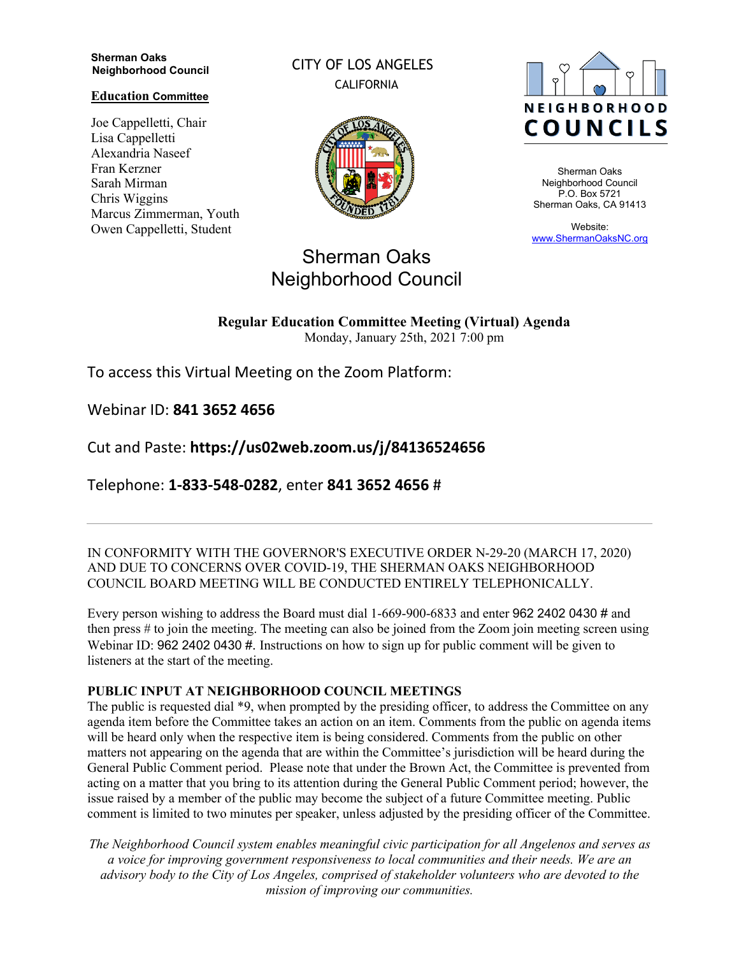#### **Sherman Oaks Neighborhood Council**

#### **Education Committee**

Joe Cappelletti, Chair Lisa Cappelletti Alexandria Naseef Fran Kerzner Sarah Mirman Chris Wiggins Marcus Zimmerman, Youth Owen Cappelletti, Student

CITY OF LOS ANGELES CALIFORNIA



# Sherman Oaks Neighborhood Council

# **NEIGHBORHOOD COUNCILS**

Sherman Oaks Neighborhood Council P.O. Box 5721 Sherman Oaks, CA 91413

Website: www.ShermanOaksNC.org

# **Regular Education Committee Meeting (Virtual) Agenda**

Monday, January 25th, 2021 7:00 pm

To access this Virtual Meeting on the Zoom Platform:

Webinar ID: **841 3652 4656** 

Cut and Paste: **https://us02web.zoom.us/j/84136524656** 

Telephone: **1-833-548-0282**, enter **841 3652 4656** #

IN CONFORMITY WITH THE GOVERNOR'S EXECUTIVE ORDER N-29-20 (MARCH 17, 2020) AND DUE TO CONCERNS OVER COVID-19, THE SHERMAN OAKS NEIGHBORHOOD COUNCIL BOARD MEETING WILL BE CONDUCTED ENTIRELY TELEPHONICALLY.

Every person wishing to address the Board must dial 1-669-900-6833 and enter 962 2402 0430 # and then press # to join the meeting. The meeting can also be joined from the Zoom join meeting screen using Webinar ID: 962 2402 0430 #. Instructions on how to sign up for public comment will be given to listeners at the start of the meeting.

#### **PUBLIC INPUT AT NEIGHBORHOOD COUNCIL MEETINGS**

The public is requested dial \*9, when prompted by the presiding officer, to address the Committee on any agenda item before the Committee takes an action on an item. Comments from the public on agenda items will be heard only when the respective item is being considered. Comments from the public on other matters not appearing on the agenda that are within the Committee's jurisdiction will be heard during the General Public Comment period. Please note that under the Brown Act, the Committee is prevented from acting on a matter that you bring to its attention during the General Public Comment period; however, the issue raised by a member of the public may become the subject of a future Committee meeting. Public comment is limited to two minutes per speaker, unless adjusted by the presiding officer of the Committee.

*The Neighborhood Council system enables meaningful civic participation for all Angelenos and serves as a voice for improving government responsiveness to local communities and their needs. We are an advisory body to the City of Los Angeles, comprised of stakeholder volunteers who are devoted to the mission of improving our communities.*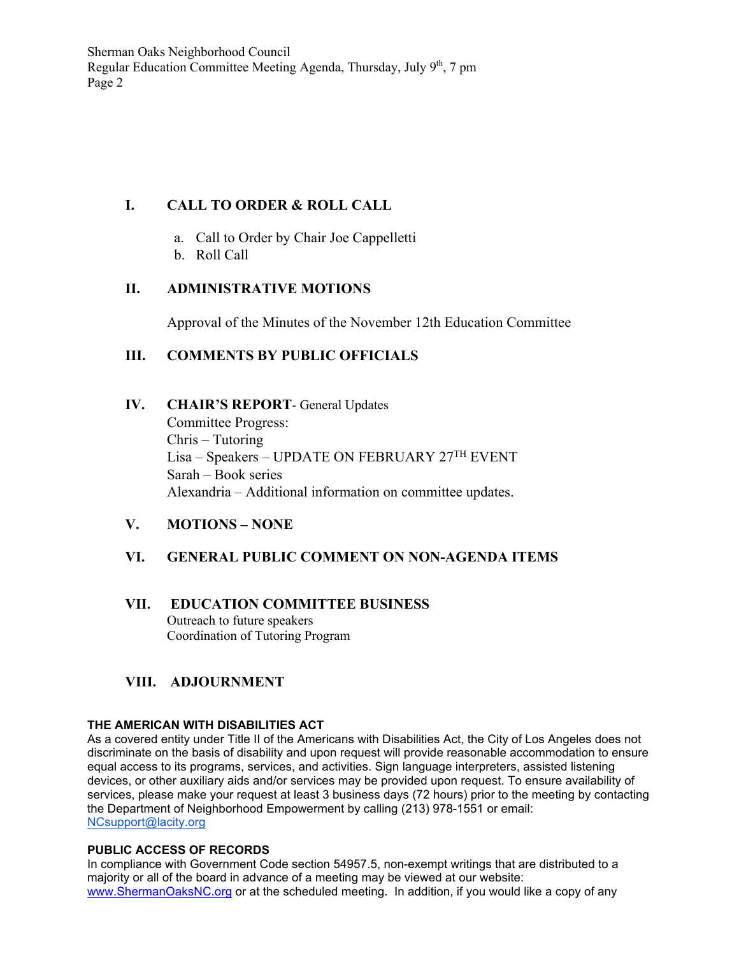Sherman Oaks Neighborhood Council Regular Education Committee Meeting Agenda, Thursday, July  $9<sup>th</sup>$ , 7 pm Page 2

# **I. CALL TO ORDER & ROLL CALL**

- a. Call to Order by Chair Joe Cappelletti
- b. Roll Call

## **II. ADMINISTRATIVE MOTIONS**

Approval of the Minutes of the November 12th Education Committee

## **III. COMMENTS BY PUBLIC OFFICIALS**

#### **IV. CHAIR'S REPORT**- General Updates

Committee Progress: Chris – Tutoring Lisa – Speakers – UPDATE ON FEBRUARY 27TH EVENT Sarah – Book series Alexandria – Additional information on committee updates.

#### **V. MOTIONS – NONE**

#### **VI. GENERAL PUBLIC COMMENT ON NON-AGENDA ITEMS**

#### **VII. EDUCATION COMMITTEE BUSINESS** Outreach to future speakers Coordination of Tutoring Program

# **VIII. ADJOURNMENT**

#### **THE AMERICAN WITH DISABILITIES ACT**

As a covered entity under Title II of the Americans with Disabilities Act, the City of Los Angeles does not discriminate on the basis of disability and upon request will provide reasonable accommodation to ensure equal access to its programs, services, and activities. Sign language interpreters, assisted listening devices, or other auxiliary aids and/or services may be provided upon request. To ensure availability of services, please make your request at least 3 business days (72 hours) prior to the meeting by contacting the Department of Neighborhood Empowerment by calling (213) 978-1551 or email: NCsupport@lacity.org

#### **PUBLIC ACCESS OF RECORDS**

In compliance with Government Code section 54957.5, non-exempt writings that are distributed to a majority or all of the board in advance of a meeting may be viewed at our website: www.ShermanOaksNC.org or at the scheduled meeting. In addition, if you would like a copy of any